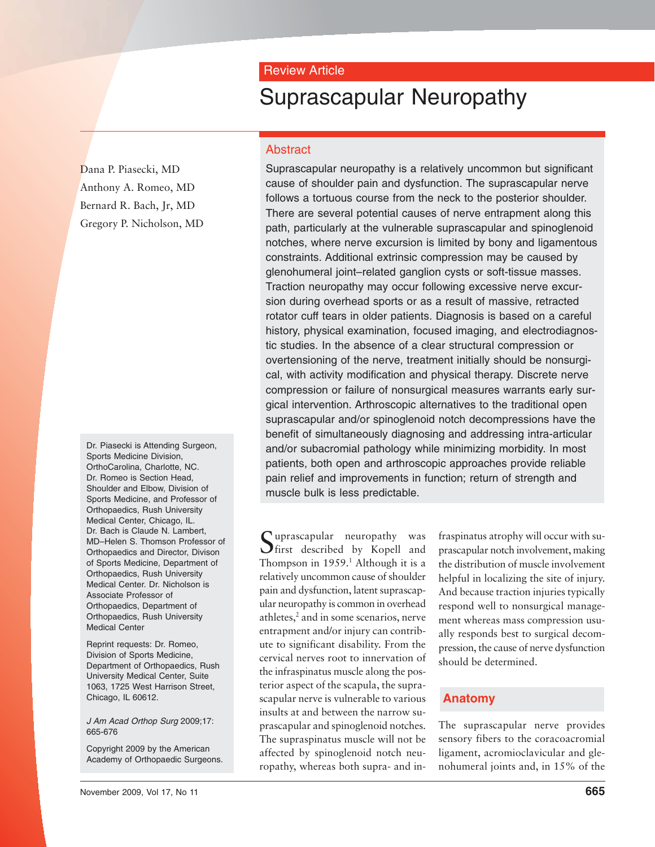# Review Article

# Suprascapular Neuropathy

# Dana P. Piasecki, MD Anthony A. Romeo, MD Bernard R. Bach, Jr, MD Gregory P. Nicholson, MD

Dr. Piasecki is Attending Surgeon, Sports Medicine Division, OrthoCarolina, Charlotte, NC. Dr. Romeo is Section Head, Shoulder and Elbow, Division of Sports Medicine, and Professor of Orthopaedics, Rush University Medical Center, Chicago, IL. Dr. Bach is Claude N. Lambert, MD–Helen S. Thomson Professor of Orthopaedics and Director, Divison of Sports Medicine, Department of Orthopaedics, Rush University Medical Center. Dr. Nicholson is Associate Professor of Orthopaedics, Department of Orthopaedics, Rush University Medical Center

Reprint requests: Dr. Romeo, Division of Sports Medicine, Department of Orthopaedics, Rush University Medical Center, Suite 1063, 1725 West Harrison Street, Chicago, IL 60612.

J Am Acad Orthop Surg 2009;17: 665-676

Copyright 2009 by the American Academy of Orthopaedic Surgeons.

Abstract Suprascapular neuropathy is a relatively uncommon but significant cause of shoulder pain and dysfunction. The suprascapular nerve follows a tortuous course from the neck to the posterior shoulder. There are several potential causes of nerve entrapment along this path, particularly at the vulnerable suprascapular and spinoglenoid notches, where nerve excursion is limited by bony and ligamentous

constraints. Additional extrinsic compression may be caused by glenohumeral joint–related ganglion cysts or soft-tissue masses. Traction neuropathy may occur following excessive nerve excursion during overhead sports or as a result of massive, retracted rotator cuff tears in older patients. Diagnosis is based on a careful history, physical examination, focused imaging, and electrodiagnostic studies. In the absence of a clear structural compression or overtensioning of the nerve, treatment initially should be nonsurgical, with activity modification and physical therapy. Discrete nerve compression or failure of nonsurgical measures warrants early surgical intervention. Arthroscopic alternatives to the traditional open suprascapular and/or spinoglenoid notch decompressions have the benefit of simultaneously diagnosing and addressing intra-articular and/or subacromial pathology while minimizing morbidity. In most patients, both open and arthroscopic approaches provide reliable pain relief and improvements in function; return of strength and muscle bulk is less predictable.

Suprascapular neuropathy was  $\bigcup$  first described by Kopell and Thompson in  $1959<sup>1</sup>$ . Although it is a relatively uncommon cause of shoulder pain and dysfunction, latent suprascapular neuropathy is common in overhead athletes,<sup>2</sup> and in some scenarios, nerve entrapment and/or injury can contribute to significant disability. From the cervical nerves root to innervation of the infraspinatus muscle along the posterior aspect of the scapula, the suprascapular nerve is vulnerable to various insults at and between the narrow suprascapular and spinoglenoid notches. The supraspinatus muscle will not be affected by spinoglenoid notch neuropathy, whereas both supra- and in-

fraspinatus atrophy will occur with suprascapular notch involvement, making the distribution of muscle involvement helpful in localizing the site of injury. And because traction injuries typically respond well to nonsurgical management whereas mass compression usually responds best to surgical decompression, the cause of nerve dysfunction should be determined.

# **Anatomy**

The suprascapular nerve provides sensory fibers to the coracoacromial ligament, acromioclavicular and glenohumeral joints and, in 15% of the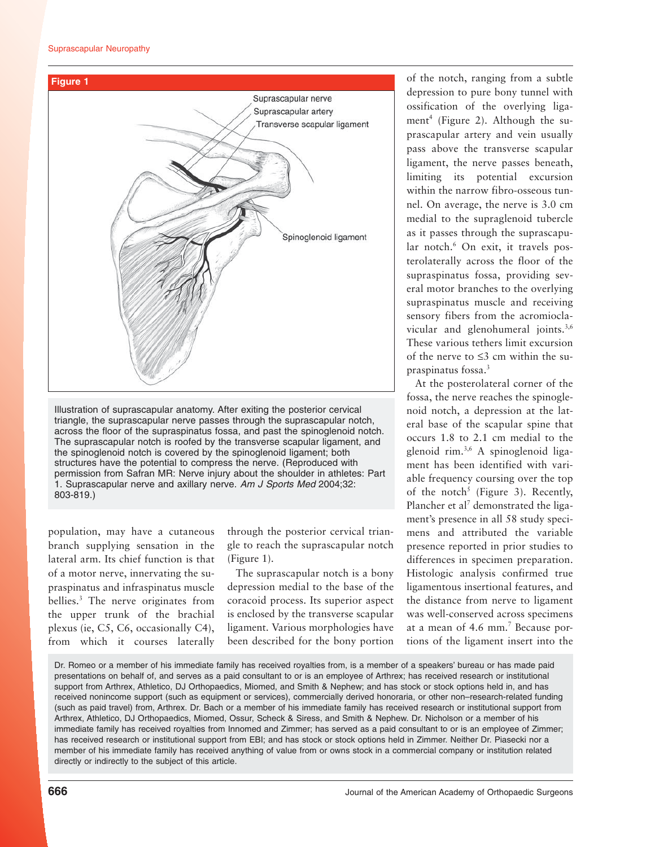

Illustration of suprascapular anatomy. After exiting the posterior cervical triangle, the suprascapular nerve passes through the suprascapular notch, across the floor of the supraspinatus fossa, and past the spinoglenoid notch. The suprascapular notch is roofed by the transverse scapular ligament, and the spinoglenoid notch is covered by the spinoglenoid ligament; both structures have the potential to compress the nerve. (Reproduced with permission from Safran MR: Nerve injury about the shoulder in athletes: Part 1. Suprascapular nerve and axillary nerve. Am J Sports Med 2004;32: 803-819.)

population, may have a cutaneous branch supplying sensation in the lateral arm. Its chief function is that of a motor nerve, innervating the supraspinatus and infraspinatus muscle bellies.3 The nerve originates from the upper trunk of the brachial plexus (ie, C5, C6, occasionally C4), from which it courses laterally

through the posterior cervical triangle to reach the suprascapular notch (Figure 1).

The suprascapular notch is a bony depression medial to the base of the coracoid process. Its superior aspect is enclosed by the transverse scapular ligament. Various morphologies have been described for the bony portion of the notch, ranging from a subtle depression to pure bony tunnel with ossification of the overlying ligament<sup>4</sup> (Figure 2). Although the suprascapular artery and vein usually pass above the transverse scapular ligament, the nerve passes beneath, limiting its potential excursion within the narrow fibro-osseous tunnel. On average, the nerve is 3.0 cm medial to the supraglenoid tubercle as it passes through the suprascapular notch.<sup>6</sup> On exit, it travels posterolaterally across the floor of the supraspinatus fossa, providing several motor branches to the overlying supraspinatus muscle and receiving sensory fibers from the acromioclavicular and glenohumeral joints.<sup>3,6</sup> These various tethers limit excursion of the nerve to ≤3 cm within the supraspinatus fossa.3

At the posterolateral corner of the fossa, the nerve reaches the spinoglenoid notch, a depression at the lateral base of the scapular spine that occurs 1.8 to 2.1 cm medial to the glenoid rim.3,6 A spinoglenoid ligament has been identified with variable frequency coursing over the top of the notch<sup>5</sup> (Figure 3). Recently, Plancher et al<sup>7</sup> demonstrated the ligament's presence in all 58 study specimens and attributed the variable presence reported in prior studies to differences in specimen preparation. Histologic analysis confirmed true ligamentous insertional features, and the distance from nerve to ligament was well-conserved across specimens at a mean of 4.6 mm.7 Because portions of the ligament insert into the

Dr. Romeo or a member of his immediate family has received royalties from, is a member of a speakers' bureau or has made paid presentations on behalf of, and serves as a paid consultant to or is an employee of Arthrex; has received research or institutional support from Arthrex, Athletico, DJ Orthopaedics, Miomed, and Smith & Nephew; and has stock or stock options held in, and has received nonincome support (such as equipment or services), commercially derived honoraria, or other non–research-related funding (such as paid travel) from, Arthrex. Dr. Bach or a member of his immediate family has received research or institutional support from Arthrex, Athletico, DJ Orthopaedics, Miomed, Ossur, Scheck & Siress, and Smith & Nephew. Dr. Nicholson or a member of his immediate family has received royalties from Innomed and Zimmer; has served as a paid consultant to or is an employee of Zimmer; has received research or institutional support from EBI; and has stock or stock options held in Zimmer. Neither Dr. Piasecki nor a member of his immediate family has received anything of value from or owns stock in a commercial company or institution related directly or indirectly to the subject of this article.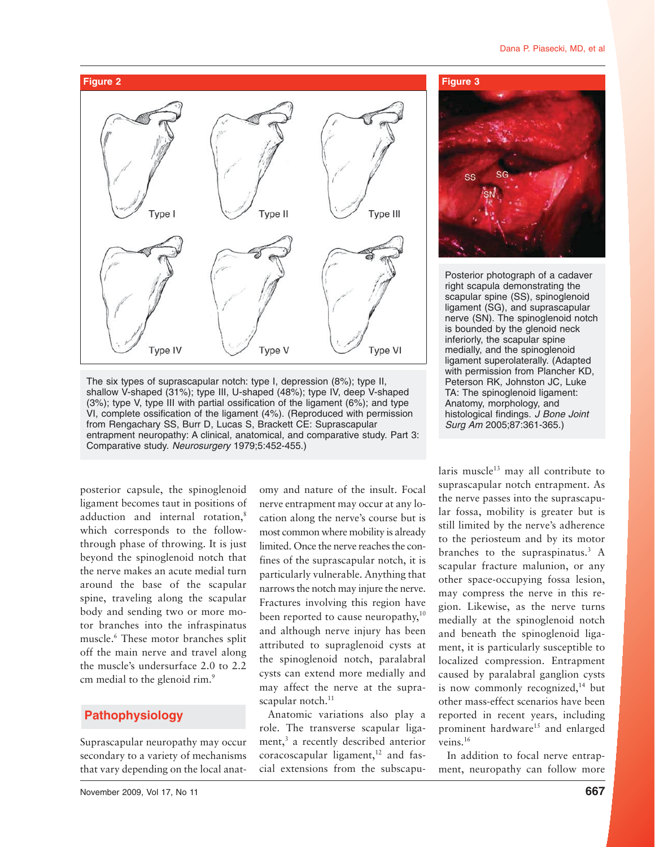#### Dana P. Piasecki, MD, et al



The six types of suprascapular notch: type I, depression (8%); type II, shallow V-shaped (31%); type III, U-shaped (48%); type IV, deep V-shaped (3%); type V, type III with partial ossification of the ligament (6%); and type VI, complete ossification of the ligament (4%). (Reproduced with permission from Rengachary SS, Burr D, Lucas S, Brackett CE: Suprascapular entrapment neuropathy: A clinical, anatomical, and comparative study. Part 3: Comparative study. Neurosurgery 1979;5:452-455.)

posterior capsule, the spinoglenoid ligament becomes taut in positions of adduction and internal rotation,<sup>8</sup> which corresponds to the followthrough phase of throwing. It is just beyond the spinoglenoid notch that the nerve makes an acute medial turn around the base of the scapular spine, traveling along the scapular body and sending two or more motor branches into the infraspinatus muscle.6 These motor branches split off the main nerve and travel along the muscle's undersurface 2.0 to 2.2 cm medial to the glenoid rim.<sup>9</sup>

# **Pathophysiology**

Suprascapular neuropathy may occur secondary to a variety of mechanisms that vary depending on the local anat-

November 2009, Vol 17, No 11 **667**

omy and nature of the insult. Focal nerve entrapment may occur at any location along the nerve's course but is most common where mobility is already limited. Once the nerve reaches the confines of the suprascapular notch, it is particularly vulnerable. Anything that narrows the notch may injure the nerve. Fractures involving this region have been reported to cause neuropathy,<sup>10</sup> and although nerve injury has been attributed to supraglenoid cysts at the spinoglenoid notch, paralabral cysts can extend more medially and may affect the nerve at the suprascapular notch.<sup>11</sup>

Anatomic variations also play a role. The transverse scapular ligament,<sup>3</sup> a recently described anterior  $coracoscapular$  ligament, $12$  and fascial extensions from the subscapu-



Posterior photograph of a cadaver right scapula demonstrating the scapular spine (SS), spinoglenoid ligament (SG), and suprascapular nerve (SN). The spinoglenoid notch is bounded by the glenoid neck inferiorly, the scapular spine medially, and the spinoglenoid ligament superolaterally. (Adapted with permission from Plancher KD, Peterson RK, Johnston JC, Luke TA: The spinoglenoid ligament: Anatomy, morphology, and histological findings. J Bone Joint Surg Am 2005;87:361-365.)

laris muscle $13$  may all contribute to suprascapular notch entrapment. As the nerve passes into the suprascapular fossa, mobility is greater but is still limited by the nerve's adherence to the periosteum and by its motor branches to the supraspinatus. $3 A$ scapular fracture malunion, or any other space-occupying fossa lesion, may compress the nerve in this region. Likewise, as the nerve turns medially at the spinoglenoid notch and beneath the spinoglenoid ligament, it is particularly susceptible to localized compression. Entrapment caused by paralabral ganglion cysts is now commonly recognized, $14$  but other mass-effect scenarios have been reported in recent years, including prominent hardware<sup>15</sup> and enlarged veins.16

In addition to focal nerve entrapment, neuropathy can follow more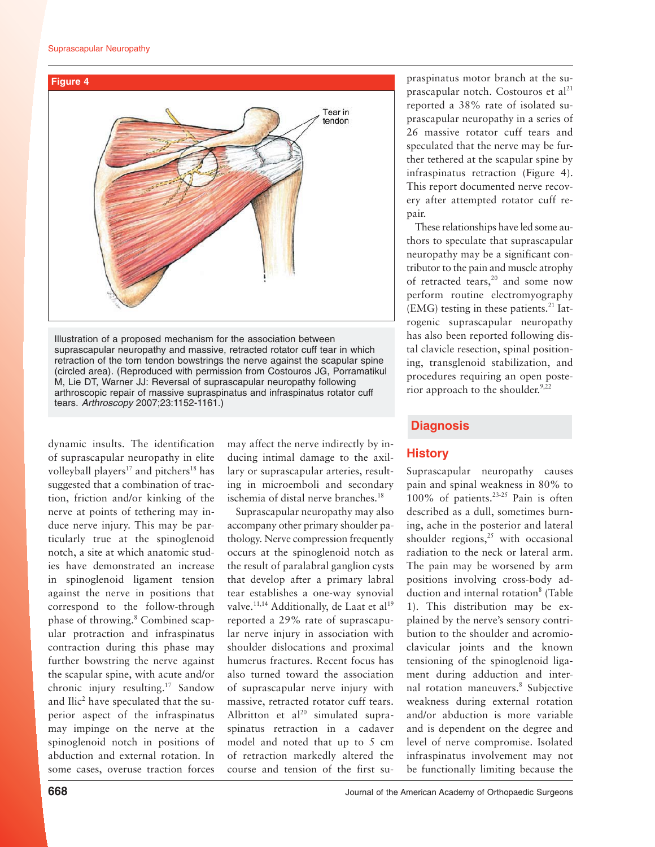

Illustration of a proposed mechanism for the association between suprascapular neuropathy and massive, retracted rotator cuff tear in which retraction of the torn tendon bowstrings the nerve against the scapular spine (circled area). (Reproduced with permission from Costouros JG, Porramatikul M, Lie DT, Warner JJ: Reversal of suprascapular neuropathy following arthroscopic repair of massive supraspinatus and infraspinatus rotator cuff tears. Arthroscopy 2007;23:1152-1161.)

dynamic insults. The identification of suprascapular neuropathy in elite volleyball players<sup>17</sup> and pitchers<sup>18</sup> has suggested that a combination of traction, friction and/or kinking of the nerve at points of tethering may induce nerve injury. This may be particularly true at the spinoglenoid notch, a site at which anatomic studies have demonstrated an increase in spinoglenoid ligament tension against the nerve in positions that correspond to the follow-through phase of throwing.<sup>8</sup> Combined scapular protraction and infraspinatus contraction during this phase may further bowstring the nerve against the scapular spine, with acute and/or chronic injury resulting.17 Sandow and Ilic<sup>2</sup> have speculated that the superior aspect of the infraspinatus may impinge on the nerve at the spinoglenoid notch in positions of abduction and external rotation. In some cases, overuse traction forces

may affect the nerve indirectly by inducing intimal damage to the axillary or suprascapular arteries, resulting in microemboli and secondary ischemia of distal nerve branches.<sup>18</sup>

Suprascapular neuropathy may also accompany other primary shoulder pathology. Nerve compression frequently occurs at the spinoglenoid notch as the result of paralabral ganglion cysts that develop after a primary labral tear establishes a one-way synovial valve.<sup>11,14</sup> Additionally, de Laat et al<sup>19</sup> reported a 29% rate of suprascapular nerve injury in association with shoulder dislocations and proximal humerus fractures. Recent focus has also turned toward the association of suprascapular nerve injury with massive, retracted rotator cuff tears. Albritton et  $al^{20}$  simulated supraspinatus retraction in a cadaver model and noted that up to 5 cm of retraction markedly altered the course and tension of the first supraspinatus motor branch at the suprascapular notch. Costouros et  $al<sup>21</sup>$ reported a 38% rate of isolated suprascapular neuropathy in a series of 26 massive rotator cuff tears and speculated that the nerve may be further tethered at the scapular spine by infraspinatus retraction (Figure 4). This report documented nerve recovery after attempted rotator cuff repair.

These relationships have led some authors to speculate that suprascapular neuropathy may be a significant contributor to the pain and muscle atrophy of retracted tears,<sup>20</sup> and some now perform routine electromyography  $(EMG)$  testing in these patients.<sup>21</sup> Iatrogenic suprascapular neuropathy has also been reported following distal clavicle resection, spinal positioning, transglenoid stabilization, and procedures requiring an open posterior approach to the shoulder. $9,22$ 

### **Diagnosis**

# **History**

Suprascapular neuropathy causes pain and spinal weakness in 80% to 100% of patients.23-25 Pain is often described as a dull, sometimes burning, ache in the posterior and lateral shoulder regions, $25$  with occasional radiation to the neck or lateral arm. The pain may be worsened by arm positions involving cross-body adduction and internal rotation<sup>8</sup> (Table 1). This distribution may be explained by the nerve's sensory contribution to the shoulder and acromioclavicular joints and the known tensioning of the spinoglenoid ligament during adduction and internal rotation maneuvers.<sup>8</sup> Subjective weakness during external rotation and/or abduction is more variable and is dependent on the degree and level of nerve compromise. Isolated infraspinatus involvement may not be functionally limiting because the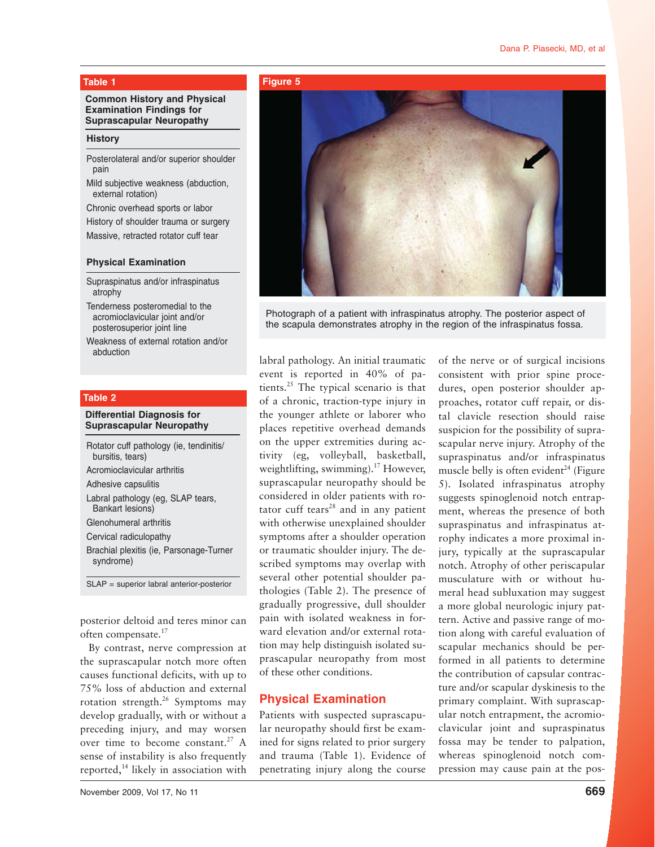#### **Common History and Physical Examination Findings for Suprascapular Neuropathy**

#### **History**

- Posterolateral and/or superior shoulder pain
- Mild subjective weakness (abduction, external rotation)
- Chronic overhead sports or labor

History of shoulder trauma or surgery Massive, retracted rotator cuff tear

#### **Physical Examination**

- Supraspinatus and/or infraspinatus atrophy
- Tenderness posteromedial to the acromioclavicular joint and/or posterosuperior joint line
- Weakness of external rotation and/or abduction

#### **Table 2**

#### **Differential Diagnosis for Suprascapular Neuropathy**

| Rotator cuff pathology (ie, tendinitis/<br>bursitis, tears)  |
|--------------------------------------------------------------|
| Acromioclavicular arthritis                                  |
| Adhesive capsulitis                                          |
| Labral pathology (eg, SLAP tears,<br><b>Bankart lesions)</b> |
| Glenohumeral arthritis                                       |
| Cervical radiculopathy                                       |
| Brachial plexitis (ie, Parsonage-Turner<br>syndrome)         |
| $SLAP$ = superior labral anterior-posterior                  |

posterior deltoid and teres minor can often compensate.17

By contrast, nerve compression at the suprascapular notch more often causes functional deficits, with up to 75% loss of abduction and external rotation strength.26 Symptoms may develop gradually, with or without a preceding injury, and may worsen over time to become constant.<sup>27</sup> A sense of instability is also frequently reported, $^{14}$  likely in association with

#### **Table 1 Figure 5**



Photograph of a patient with infraspinatus atrophy. The posterior aspect of the scapula demonstrates atrophy in the region of the infraspinatus fossa.

labral pathology. An initial traumatic event is reported in 40% of patients.25 The typical scenario is that of a chronic, traction-type injury in the younger athlete or laborer who places repetitive overhead demands on the upper extremities during activity (eg, volleyball, basketball, weightlifting, swimming).<sup>17</sup> However, suprascapular neuropathy should be considered in older patients with rotator cuff tears $28$  and in any patient with otherwise unexplained shoulder symptoms after a shoulder operation or traumatic shoulder injury. The described symptoms may overlap with several other potential shoulder pathologies (Table 2). The presence of gradually progressive, dull shoulder pain with isolated weakness in forward elevation and/or external rotation may help distinguish isolated suprascapular neuropathy from most of these other conditions.

# **Physical Examination**

Patients with suspected suprascapular neuropathy should first be examined for signs related to prior surgery and trauma (Table 1). Evidence of penetrating injury along the course of the nerve or of surgical incisions consistent with prior spine procedures, open posterior shoulder approaches, rotator cuff repair, or distal clavicle resection should raise suspicion for the possibility of suprascapular nerve injury. Atrophy of the supraspinatus and/or infraspinatus muscle belly is often evident $^{24}$  (Figure 5). Isolated infraspinatus atrophy suggests spinoglenoid notch entrapment, whereas the presence of both supraspinatus and infraspinatus atrophy indicates a more proximal injury, typically at the suprascapular notch. Atrophy of other periscapular musculature with or without humeral head subluxation may suggest a more global neurologic injury pattern. Active and passive range of motion along with careful evaluation of scapular mechanics should be performed in all patients to determine the contribution of capsular contracture and/or scapular dyskinesis to the primary complaint. With suprascapular notch entrapment, the acromioclavicular joint and supraspinatus fossa may be tender to palpation, whereas spinoglenoid notch compression may cause pain at the pos-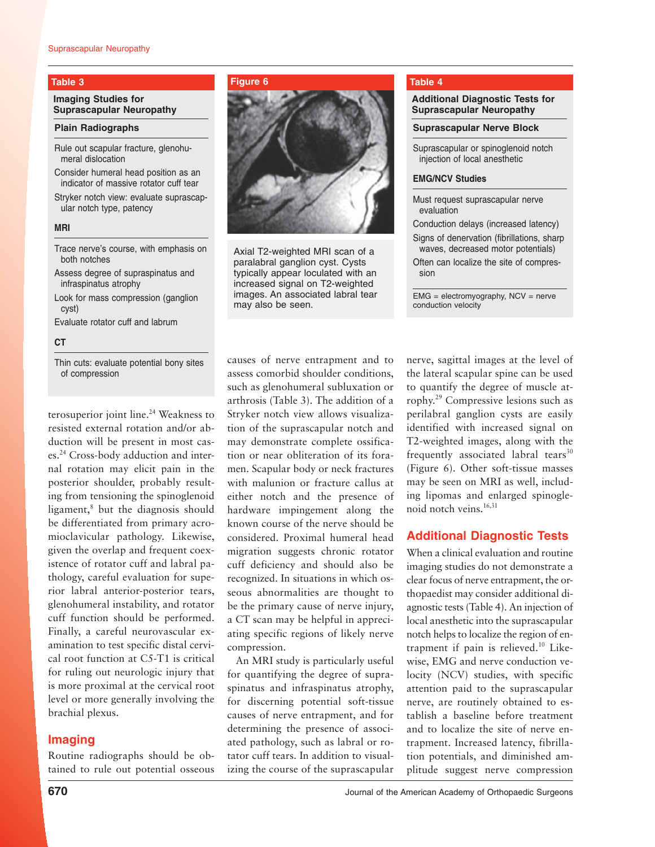#### **Imaging Studies for Suprascapular Neuropathy**

#### **Plain Radiographs**

Rule out scapular fracture, glenohumeral dislocation

Consider humeral head position as an indicator of massive rotator cuff tear

Stryker notch view: evaluate suprascapular notch type, patency

#### **MRI**

Trace nerve's course, with emphasis on both notches

Assess degree of supraspinatus and infraspinatus atrophy

Look for mass compression (ganglion cyst)

Evaluate rotator cuff and labrum

#### **CT**

Thin cuts: evaluate potential bony sites of compression

terosuperior joint line.<sup>24</sup> Weakness to resisted external rotation and/or abduction will be present in most cases.24 Cross-body adduction and internal rotation may elicit pain in the posterior shoulder, probably resulting from tensioning the spinoglenoid ligament,<sup>8</sup> but the diagnosis should be differentiated from primary acromioclavicular pathology. Likewise, given the overlap and frequent coexistence of rotator cuff and labral pathology, careful evaluation for superior labral anterior-posterior tears, glenohumeral instability, and rotator cuff function should be performed. Finally, a careful neurovascular examination to test specific distal cervical root function at C5-T1 is critical for ruling out neurologic injury that is more proximal at the cervical root level or more generally involving the brachial plexus.

# **Imaging**

Routine radiographs should be obtained to rule out potential osseous

#### **Table 3 Figure 6**



Axial T2-weighted MRI scan of a paralabral ganglion cyst. Cysts typically appear loculated with an increased signal on T2-weighted images. An associated labral tear may also be seen.

#### **Table 4**

#### **Additional Diagnostic Tests for Suprascapular Neuropathy**

**Suprascapular Nerve Block**

Suprascapular or spinoglenoid notch injection of local anesthetic

#### **EMG/NCV Studies**

Must request suprascapular nerve evaluation

Conduction delays (increased latency) Signs of denervation (fibrillations, sharp waves, decreased motor potentials)

Often can localize the site of compression

 $EMG =$  electromyography,  $NCV =$  nerve conduction velocity

causes of nerve entrapment and to assess comorbid shoulder conditions, such as glenohumeral subluxation or arthrosis (Table 3). The addition of a Stryker notch view allows visualization of the suprascapular notch and may demonstrate complete ossification or near obliteration of its foramen. Scapular body or neck fractures with malunion or fracture callus at either notch and the presence of hardware impingement along the known course of the nerve should be considered. Proximal humeral head migration suggests chronic rotator cuff deficiency and should also be recognized. In situations in which osseous abnormalities are thought to be the primary cause of nerve injury, a CT scan may be helpful in appreciating specific regions of likely nerve compression.

An MRI study is particularly useful for quantifying the degree of supraspinatus and infraspinatus atrophy, for discerning potential soft-tissue causes of nerve entrapment, and for determining the presence of associated pathology, such as labral or rotator cuff tears. In addition to visualizing the course of the suprascapular nerve, sagittal images at the level of the lateral scapular spine can be used to quantify the degree of muscle atrophy.29 Compressive lesions such as perilabral ganglion cysts are easily identified with increased signal on T2-weighted images, along with the frequently associated labral tears $30$ (Figure 6). Other soft-tissue masses may be seen on MRI as well, including lipomas and enlarged spinoglenoid notch veins.<sup>16,31</sup>

# **Additional Diagnostic Tests**

When a clinical evaluation and routine imaging studies do not demonstrate a clear focus of nerve entrapment, the orthopaedist may consider additional diagnostic tests (Table 4). An injection of local anesthetic into the suprascapular notch helps to localize the region of entrapment if pain is relieved.10 Likewise, EMG and nerve conduction velocity (NCV) studies, with specific attention paid to the suprascapular nerve, are routinely obtained to establish a baseline before treatment and to localize the site of nerve entrapment. Increased latency, fibrillation potentials, and diminished amplitude suggest nerve compression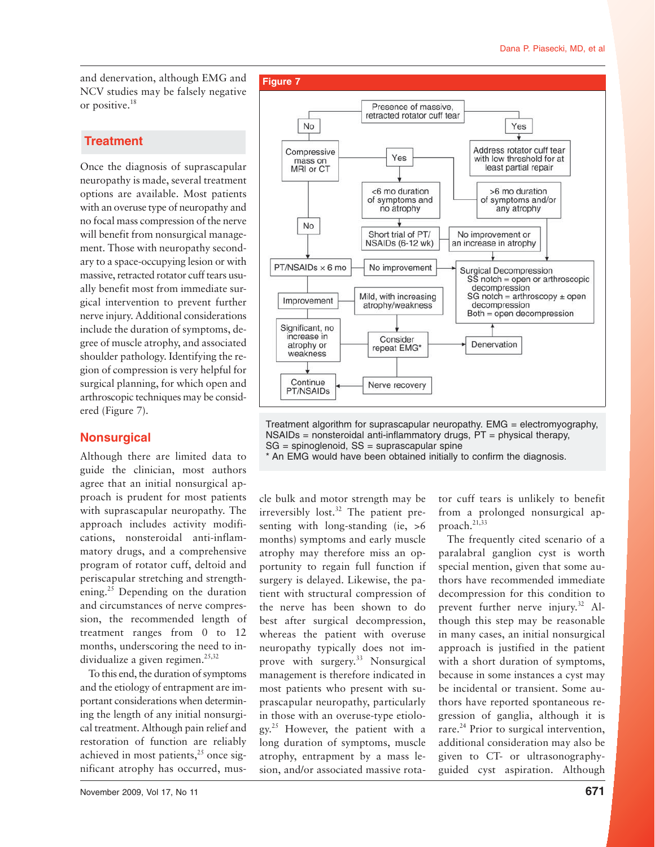and denervation, although EMG and NCV studies may be falsely negative or positive.18

# **Treatment**

Once the diagnosis of suprascapular neuropathy is made, several treatment options are available. Most patients with an overuse type of neuropathy and no focal mass compression of the nerve will benefit from nonsurgical management. Those with neuropathy secondary to a space-occupying lesion or with massive, retracted rotator cuff tears usually benefit most from immediate surgical intervention to prevent further nerve injury. Additional considerations include the duration of symptoms, degree of muscle atrophy, and associated shoulder pathology. Identifying the region of compression is very helpful for surgical planning, for which open and arthroscopic techniques may be considered (Figure 7).

# **Nonsurgical**

Although there are limited data to guide the clinician, most authors agree that an initial nonsurgical approach is prudent for most patients with suprascapular neuropathy. The approach includes activity modifications, nonsteroidal anti-inflammatory drugs, and a comprehensive program of rotator cuff, deltoid and periscapular stretching and strengthening.<sup>25</sup> Depending on the duration and circumstances of nerve compression, the recommended length of treatment ranges from 0 to 12 months, underscoring the need to individualize a given regimen. $25,32$ 

To this end, the duration of symptoms and the etiology of entrapment are important considerations when determining the length of any initial nonsurgical treatment. Although pain relief and restoration of function are reliably achieved in most patients, $2<sup>5</sup>$  once significant atrophy has occurred, mus-



Treatment algorithm for suprascapular neuropathy. EMG = electromyography,  $NSAIDS = nonsteroidal anti-inflammatory drugs, PT = physical therapy,$  $SG = spinoglenoid$ ,  $SS = suprascapular spine$ 

\* An EMG would have been obtained initially to confirm the diagnosis.

cle bulk and motor strength may be irreversibly lost. $32$  The patient presenting with long-standing (ie,  $>6$ months) symptoms and early muscle atrophy may therefore miss an opportunity to regain full function if surgery is delayed. Likewise, the patient with structural compression of the nerve has been shown to do best after surgical decompression, whereas the patient with overuse neuropathy typically does not improve with surgery.<sup>33</sup> Nonsurgical management is therefore indicated in most patients who present with suprascapular neuropathy, particularly in those with an overuse-type etiology.25 However, the patient with a long duration of symptoms, muscle atrophy, entrapment by a mass lesion, and/or associated massive rota-

tor cuff tears is unlikely to benefit from a prolonged nonsurgical approach.<sup>21,33</sup>

The frequently cited scenario of a paralabral ganglion cyst is worth special mention, given that some authors have recommended immediate decompression for this condition to prevent further nerve injury.<sup>32</sup> Although this step may be reasonable in many cases, an initial nonsurgical approach is justified in the patient with a short duration of symptoms, because in some instances a cyst may be incidental or transient. Some authors have reported spontaneous regression of ganglia, although it is rare.<sup>24</sup> Prior to surgical intervention, additional consideration may also be given to CT- or ultrasonographyguided cyst aspiration. Although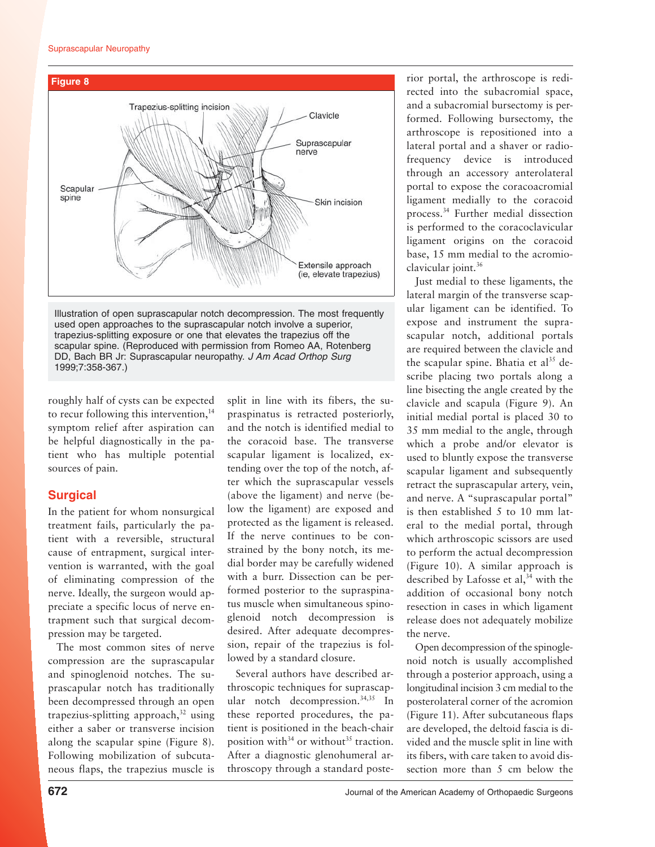

Illustration of open suprascapular notch decompression. The most frequently used open approaches to the suprascapular notch involve a superior, trapezius-splitting exposure or one that elevates the trapezius off the scapular spine. (Reproduced with permission from Romeo AA, Rotenberg DD, Bach BR Jr: Suprascapular neuropathy. J Am Acad Orthop Surg 1999;7:358-367.)

roughly half of cysts can be expected to recur following this intervention, $^{14}$ symptom relief after aspiration can be helpful diagnostically in the patient who has multiple potential sources of pain.

# **Surgical**

In the patient for whom nonsurgical treatment fails, particularly the patient with a reversible, structural cause of entrapment, surgical intervention is warranted, with the goal of eliminating compression of the nerve. Ideally, the surgeon would appreciate a specific locus of nerve entrapment such that surgical decompression may be targeted.

The most common sites of nerve compression are the suprascapular and spinoglenoid notches. The suprascapular notch has traditionally been decompressed through an open trapezius-splitting approach, $32$  using either a saber or transverse incision along the scapular spine (Figure 8). Following mobilization of subcutaneous flaps, the trapezius muscle is split in line with its fibers, the supraspinatus is retracted posteriorly, and the notch is identified medial to the coracoid base. The transverse scapular ligament is localized, extending over the top of the notch, after which the suprascapular vessels (above the ligament) and nerve (below the ligament) are exposed and protected as the ligament is released. If the nerve continues to be constrained by the bony notch, its medial border may be carefully widened with a burr. Dissection can be performed posterior to the supraspinatus muscle when simultaneous spinoglenoid notch decompression is desired. After adequate decompression, repair of the trapezius is followed by a standard closure.

Several authors have described arthroscopic techniques for suprascapular notch decompression.<sup>34,35</sup> In these reported procedures, the patient is positioned in the beach-chair position with $34$  or without<sup>35</sup> traction. After a diagnostic glenohumeral arthroscopy through a standard posterior portal, the arthroscope is redirected into the subacromial space, and a subacromial bursectomy is performed. Following bursectomy, the arthroscope is repositioned into a lateral portal and a shaver or radiofrequency device is introduced through an accessory anterolateral portal to expose the coracoacromial ligament medially to the coracoid process.34 Further medial dissection is performed to the coracoclavicular ligament origins on the coracoid base, 15 mm medial to the acromioclavicular joint.36

Just medial to these ligaments, the lateral margin of the transverse scapular ligament can be identified. To expose and instrument the suprascapular notch, additional portals are required between the clavicle and the scapular spine. Bhatia et al<sup>35</sup> describe placing two portals along a line bisecting the angle created by the clavicle and scapula (Figure 9). An initial medial portal is placed 30 to 35 mm medial to the angle, through which a probe and/or elevator is used to bluntly expose the transverse scapular ligament and subsequently retract the suprascapular artery, vein, and nerve. A "suprascapular portal" is then established 5 to 10 mm lateral to the medial portal, through which arthroscopic scissors are used to perform the actual decompression (Figure 10). A similar approach is described by Lafosse et  $al, <sup>34</sup>$  with the addition of occasional bony notch resection in cases in which ligament release does not adequately mobilize the nerve.

Open decompression of the spinoglenoid notch is usually accomplished through a posterior approach, using a longitudinal incision 3 cm medial to the posterolateral corner of the acromion (Figure 11). After subcutaneous flaps are developed, the deltoid fascia is divided and the muscle split in line with its fibers, with care taken to avoid dissection more than 5 cm below the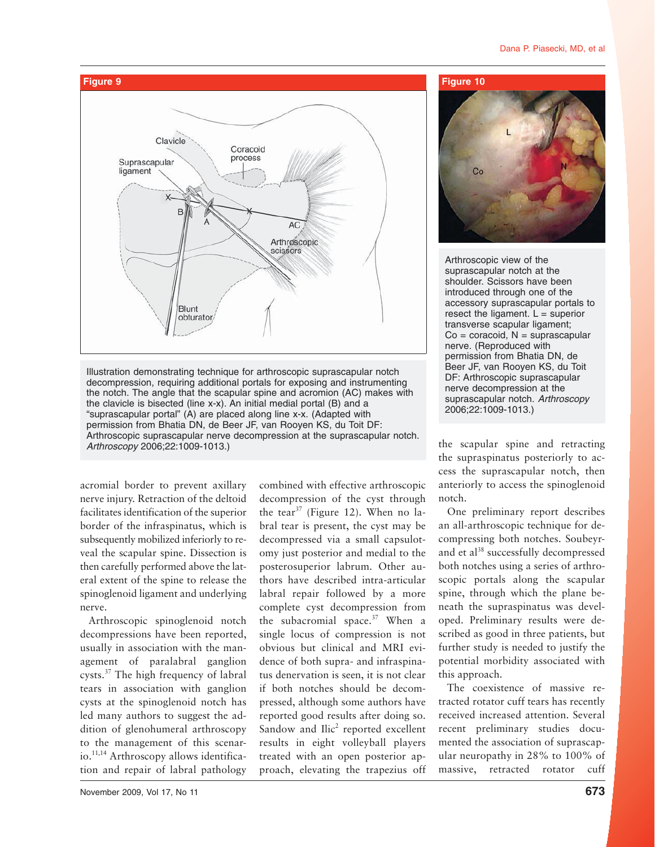#### Dana P. Piasecki, MD, et al



Illustration demonstrating technique for arthroscopic suprascapular notch decompression, requiring additional portals for exposing and instrumenting the notch. The angle that the scapular spine and acromion (AC) makes with the clavicle is bisected (line x-x). An initial medial portal (B) and a "suprascapular portal" (A) are placed along line x-x. (Adapted with permission from Bhatia DN, de Beer JF, van Rooyen KS, du Toit DF: Arthroscopic suprascapular nerve decompression at the suprascapular notch. Arthroscopy 2006;22:1009-1013.)

acromial border to prevent axillary nerve injury. Retraction of the deltoid facilitates identification of the superior border of the infraspinatus, which is subsequently mobilized inferiorly to reveal the scapular spine. Dissection is then carefully performed above the lateral extent of the spine to release the spinoglenoid ligament and underlying nerve.

Arthroscopic spinoglenoid notch decompressions have been reported, usually in association with the management of paralabral ganglion cysts.37 The high frequency of labral tears in association with ganglion cysts at the spinoglenoid notch has led many authors to suggest the addition of glenohumeral arthroscopy to the management of this scenario.11,14 Arthroscopy allows identification and repair of labral pathology

combined with effective arthroscopic decompression of the cyst through the tear<sup>37</sup> (Figure 12). When no labral tear is present, the cyst may be decompressed via a small capsulotomy just posterior and medial to the posterosuperior labrum. Other authors have described intra-articular labral repair followed by a more complete cyst decompression from the subacromial space. $37$  When a single locus of compression is not obvious but clinical and MRI evidence of both supra- and infraspinatus denervation is seen, it is not clear if both notches should be decompressed, although some authors have reported good results after doing so. Sandow and Ilic<sup>2</sup> reported excellent results in eight volleyball players treated with an open posterior approach, elevating the trapezius off



Arthroscopic view of the suprascapular notch at the shoulder. Scissors have been introduced through one of the accessory suprascapular portals to resect the ligament.  $L =$  superior transverse scapular ligament;  $Co = concoid$ ,  $N = suprascapular$ nerve. (Reproduced with permission from Bhatia DN, de Beer JF, van Rooyen KS, du Toit DF: Arthroscopic suprascapular nerve decompression at the suprascapular notch. Arthroscopy 2006;22:1009-1013.)

the scapular spine and retracting the supraspinatus posteriorly to access the suprascapular notch, then anteriorly to access the spinoglenoid notch.

One preliminary report describes an all-arthroscopic technique for decompressing both notches. Soubeyrand et al<sup>38</sup> successfully decompressed both notches using a series of arthroscopic portals along the scapular spine, through which the plane beneath the supraspinatus was developed. Preliminary results were described as good in three patients, but further study is needed to justify the potential morbidity associated with this approach.

The coexistence of massive retracted rotator cuff tears has recently received increased attention. Several recent preliminary studies documented the association of suprascapular neuropathy in 28% to 100% of massive, retracted rotator cuff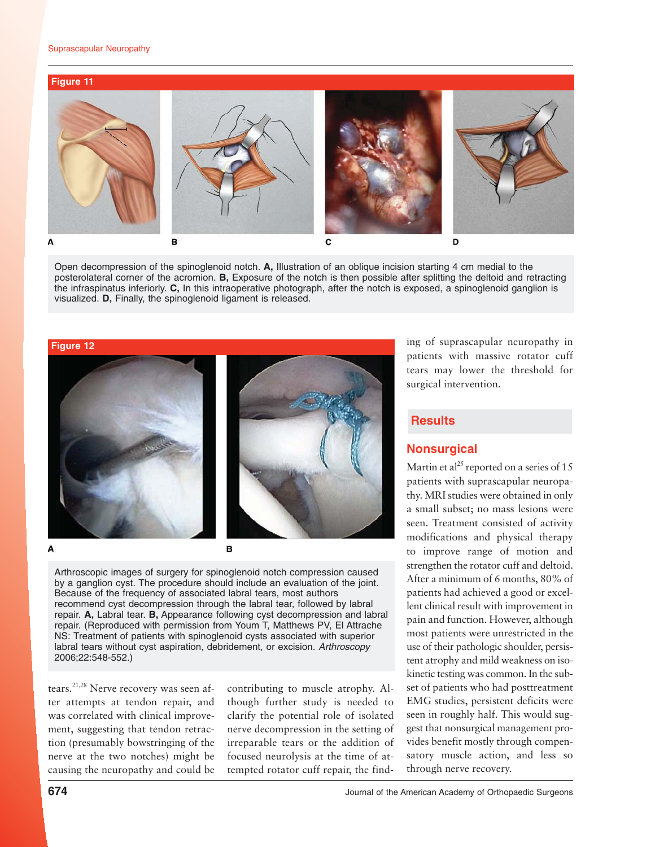#### Suprascapular Neuropathy



Open decompression of the spinoglenoid notch. **A,** Illustration of an oblique incision starting 4 cm medial to the posterolateral corner of the acromion. **B,** Exposure of the notch is then possible after splitting the deltoid and retracting the infraspinatus inferiorly. **C,** In this intraoperative photograph, after the notch is exposed, a spinoglenoid ganglion is visualized. **D,** Finally, the spinoglenoid ligament is released.







A

Arthroscopic images of surgery for spinoglenoid notch compression caused by a ganglion cyst. The procedure should include an evaluation of the joint. Because of the frequency of associated labral tears, most authors recommend cyst decompression through the labral tear, followed by labral repair. **A,** Labral tear. **B,** Appearance following cyst decompression and labral repair. (Reproduced with permission from Youm T, Matthews PV, El Attrache NS: Treatment of patients with spinoglenoid cysts associated with superior labral tears without cyst aspiration, debridement, or excision. Arthroscopy 2006;22:548-552.)

tears.<sup>21,28</sup> Nerve recovery was seen after attempts at tendon repair, and was correlated with clinical improvement, suggesting that tendon retraction (presumably bowstringing of the nerve at the two notches) might be causing the neuropathy and could be

contributing to muscle atrophy. Although further study is needed to clarify the potential role of isolated nerve decompression in the setting of irreparable tears or the addition of focused neurolysis at the time of attempted rotator cuff repair, the finding of suprascapular neuropathy in patients with massive rotator cuff tears may lower the threshold for surgical intervention.

### **Results**

# **Nonsurgical**

Martin et al<sup>25</sup> reported on a series of 15 patients with suprascapular neuropathy. MRI studies were obtained in only a small subset; no mass lesions were seen. Treatment consisted of activity modifications and physical therapy to improve range of motion and strengthen the rotator cuff and deltoid. After a minimum of 6 months, 80% of patients had achieved a good or excellent clinical result with improvement in pain and function. However, although most patients were unrestricted in the use of their pathologic shoulder, persistent atrophy and mild weakness on isokinetic testing was common. In the subset of patients who had posttreatment EMG studies, persistent deficits were seen in roughly half. This would suggest that nonsurgical management provides benefit mostly through compensatory muscle action, and less so through nerve recovery.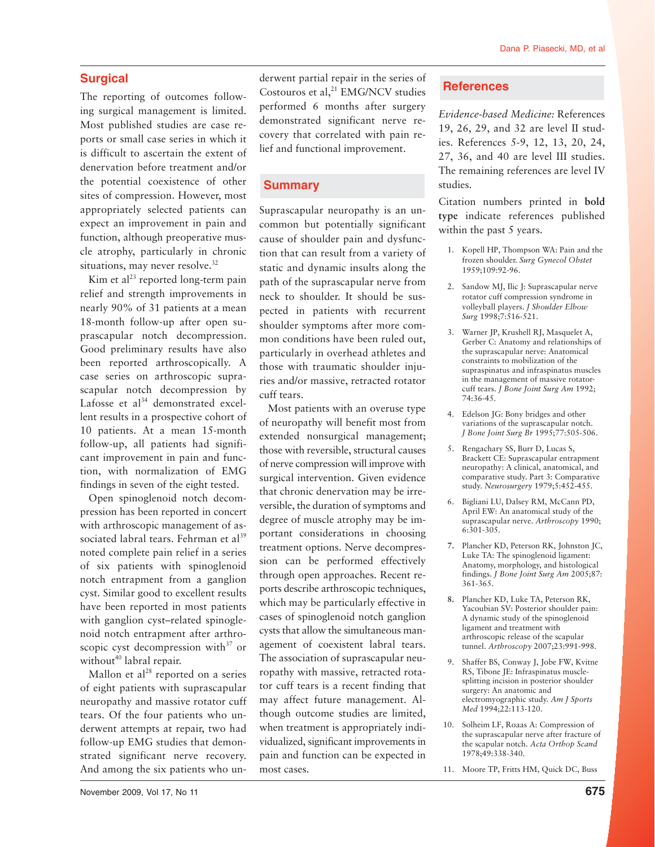# **Surgical**

The reporting of outcomes following surgical management is limited. Most published studies are case reports or small case series in which it is difficult to ascertain the extent of denervation before treatment and/or the potential coexistence of other sites of compression. However, most appropriately selected patients can expect an improvement in pain and function, although preoperative muscle atrophy, particularly in chronic situations, may never resolve.<sup>32</sup>

Kim et al $^{23}$  reported long-term pain relief and strength improvements in nearly 90% of 31 patients at a mean 18-month follow-up after open suprascapular notch decompression. Good preliminary results have also been reported arthroscopically. A case series on arthroscopic suprascapular notch decompression by Lafosse et  $al^{34}$  demonstrated excellent results in a prospective cohort of 10 patients. At a mean 15-month follow-up, all patients had significant improvement in pain and function, with normalization of EMG findings in seven of the eight tested.

Open spinoglenoid notch decompression has been reported in concert with arthroscopic management of associated labral tears. Fehrman et al<sup>39</sup> noted complete pain relief in a series of six patients with spinoglenoid notch entrapment from a ganglion cyst. Similar good to excellent results have been reported in most patients with ganglion cyst–related spinoglenoid notch entrapment after arthroscopic cyst decompression with $37$  or without<sup>40</sup> labral repair.

Mallon et  $al<sup>28</sup>$  reported on a series of eight patients with suprascapular neuropathy and massive rotator cuff tears. Of the four patients who underwent attempts at repair, two had follow-up EMG studies that demonstrated significant nerve recovery. And among the six patients who underwent partial repair in the series of Costouros et al,<sup>21</sup> EMG/NCV studies performed 6 months after surgery demonstrated significant nerve recovery that correlated with pain relief and functional improvement.

# **Summary**

Suprascapular neuropathy is an uncommon but potentially significant cause of shoulder pain and dysfunction that can result from a variety of static and dynamic insults along the path of the suprascapular nerve from neck to shoulder. It should be suspected in patients with recurrent shoulder symptoms after more common conditions have been ruled out, particularly in overhead athletes and those with traumatic shoulder injuries and/or massive, retracted rotator cuff tears.

Most patients with an overuse type of neuropathy will benefit most from extended nonsurgical management; those with reversible, structural causes of nerve compression will improve with surgical intervention. Given evidence that chronic denervation may be irreversible, the duration of symptoms and degree of muscle atrophy may be important considerations in choosing treatment options. Nerve decompression can be performed effectively through open approaches. Recent reports describe arthroscopic techniques, which may be particularly effective in cases of spinoglenoid notch ganglion cysts that allow the simultaneous management of coexistent labral tears. The association of suprascapular neuropathy with massive, retracted rotator cuff tears is a recent finding that may affect future management. Although outcome studies are limited, when treatment is appropriately individualized, significant improvements in pain and function can be expected in most cases.

### **References**

*Evidence-based Medicine:* References 19, 26, 29, and 32 are level II studies. References 5-9, 12, 13, 20, 24, 27, 36, and 40 are level III studies. The remaining references are level IV studies.

Citation numbers printed in **bold type** indicate references published within the past 5 years.

- 1. Kopell HP, Thompson WA: Pain and the frozen shoulder. *Surg Gynecol Obstet* 1959;109:92-96.
- 2. Sandow MJ, Ilic J: Suprascapular nerve rotator cuff compression syndrome in volleyball players. *J Shoulder Elbow Surg* 1998;7:516-521.
- 3. Warner JP, Krushell RJ, Masquelet A, Gerber C: Anatomy and relationships of the suprascapular nerve: Anatomical constraints to mobilization of the supraspinatus and infraspinatus muscles in the management of massive rotatorcuff tears. *J Bone Joint Surg Am* 1992; 74:36-45.
- 4. Edelson JG: Bony bridges and other variations of the suprascapular notch. *J Bone Joint Surg Br* 1995;77:505-506.
- 5. Rengachary SS, Burr D, Lucas S, Brackett CE: Suprascapular entrapment neuropathy: A clinical, anatomical, and comparative study. Part 3: Comparative study. *Neurosurgery* 1979;5:452-455.
- 6. Bigliani LU, Dalsey RM, McCann PD, April EW: An anatomical study of the suprascapular nerve. *Arthroscopy* 1990; 6:301-305.
- **7.** Plancher KD, Peterson RK, Johnston JC, Luke TA: The spinoglenoid ligament: Anatomy, morphology, and histological findings. *J Bone Joint Surg Am* 2005;87: 361-365.
- **8.** Plancher KD, Luke TA, Peterson RK, Yacoubian SV: Posterior shoulder pain: A dynamic study of the spinoglenoid ligament and treatment with arthroscopic release of the scapular tunnel. *Arthroscopy* 2007;23:991-998.
- 9. Shaffer BS, Conway J, Jobe FW, Kvitne RS, Tibone JE: Infraspinatus musclesplitting incision in posterior shoulder surgery: An anatomic and electromyographic study. *Am J Sports Med* 1994;22:113-120.
- 10. Solheim LF, Roaas A: Compression of the suprascapular nerve after fracture of the scapular notch. *Acta Orthop Scand* 1978;49:338-340.
- 11. Moore TP, Fritts HM, Quick DC, Buss